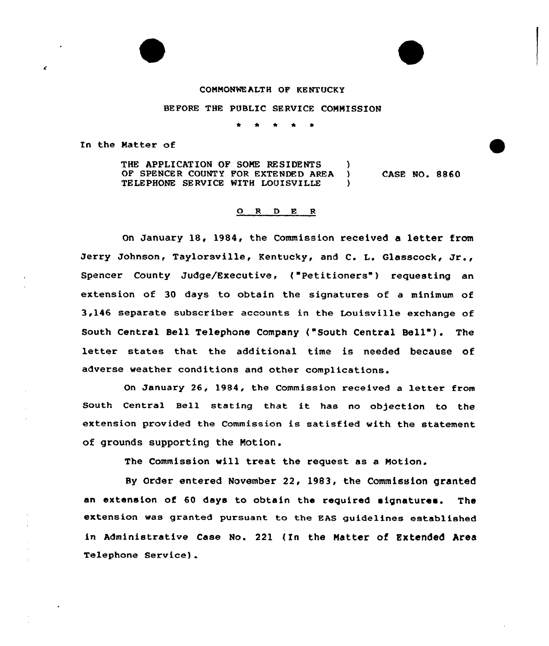## COMMONWEALTH OF KENTUCKY

## BEFORE THE PUBLIC SERVICE COMMISSION

\* \* \* <sup>4</sup> \*

In the Matter of

THE APPLICATION OF SOME RESIDENTS )<br>OF SPENCER COUNTY FOR EXTENDED AREA ) OF SPENCER COUNTY FOR EXTENDED AREA ) TELEPHONE SERVICE WITH LOUISVILLE CASE NO. 8860

## ORDER

On January 18, 1984, the Commission received a letter from Jerry Johnson, Taylorsville, Kentucky, and C. L. Glasscock, Jr., Spencer County Judge/Executive, ("Petitioners") requesting an extension of 30 days to obtain the signatures of a minimum of 3,146 separate subscriber accounts in the Louisville exchange of South Central Bell Telephone Company ("South Central Bell"). The letter states that the additional time is needed because of adverse weather conditions and other complications.

On January 26, 1984, the Commission received a letter from South Central Bell stating that it has no objection to the extension provided the Commission is satisfied with the statement of grounds supporting the Notion.

The Commission vill treat the request as a Motion.

By Order entered November 22, 1983, the Commission granted an extension of 60 days to obtain the required signatures. The extension was granted pursuant to the EAS guidelines established in Administrative case No. 221 (In the Natter of Extended Area Telephone Service).